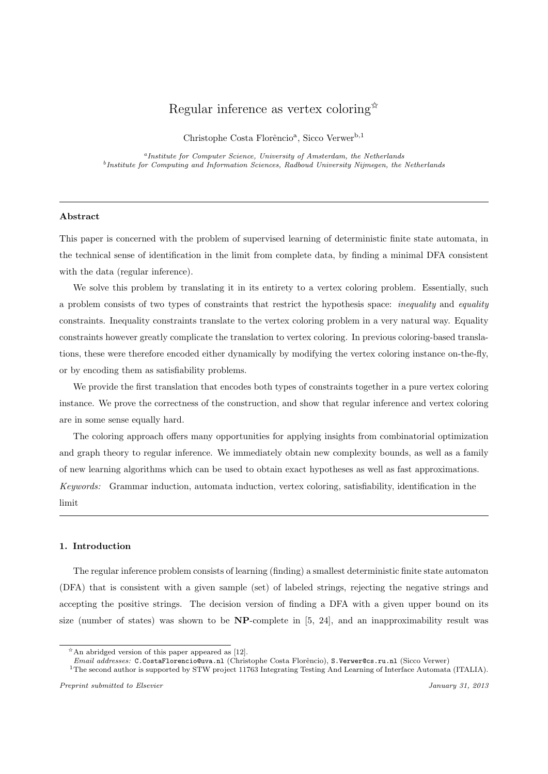# Regular inference as vertex coloring  $\mathbb{R}$

Christophe Costa Florêncio<sup>a</sup>, Sicco Verwer<sup>b,1</sup>

<sup>a</sup>Institute for Computer Science, University of Amsterdam, the Netherlands <sup>b</sup>Institute for Computing and Information Sciences, Radboud University Nijmegen, the Netherlands

#### Abstract

This paper is concerned with the problem of supervised learning of deterministic finite state automata, in the technical sense of identification in the limit from complete data, by finding a minimal DFA consistent with the data (regular inference).

We solve this problem by translating it in its entirety to a vertex coloring problem. Essentially, such a problem consists of two types of constraints that restrict the hypothesis space: inequality and equality constraints. Inequality constraints translate to the vertex coloring problem in a very natural way. Equality constraints however greatly complicate the translation to vertex coloring. In previous coloring-based translations, these were therefore encoded either dynamically by modifying the vertex coloring instance on-the-fly, or by encoding them as satisfiability problems.

We provide the first translation that encodes both types of constraints together in a pure vertex coloring instance. We prove the correctness of the construction, and show that regular inference and vertex coloring are in some sense equally hard.

The coloring approach offers many opportunities for applying insights from combinatorial optimization and graph theory to regular inference. We immediately obtain new complexity bounds, as well as a family of new learning algorithms which can be used to obtain exact hypotheses as well as fast approximations. Keywords: Grammar induction, automata induction, vertex coloring, satisfiability, identification in the limit

## 1. Introduction

The regular inference problem consists of learning (finding) a smallest deterministic finite state automaton (DFA) that is consistent with a given sample (set) of labeled strings, rejecting the negative strings and accepting the positive strings. The decision version of finding a DFA with a given upper bound on its size (number of states) was shown to be  $NP$ -complete in [5, 24], and an inapproximability result was

 $*$ An abridged version of this paper appeared as [12].

Email addresses: C.CostaFlorencio@uva.nl (Christophe Costa Florêncio), S.Verwer@cs.ru.nl (Sicco Verwer)

<sup>&</sup>lt;sup>1</sup>The second author is supported by STW project 11763 Integrating Testing And Learning of Interface Automata (ITALIA).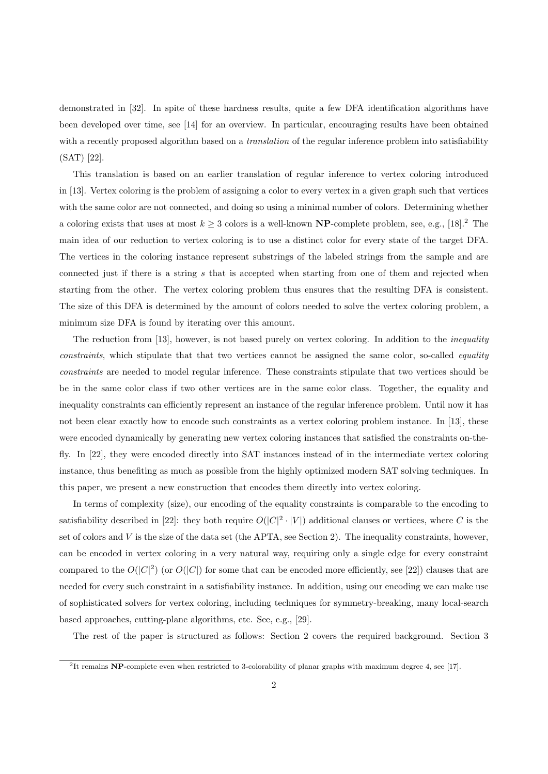demonstrated in [32]. In spite of these hardness results, quite a few DFA identification algorithms have been developed over time, see [14] for an overview. In particular, encouraging results have been obtained with a recently proposed algorithm based on a *translation* of the regular inference problem into satisfiability (SAT) [22].

This translation is based on an earlier translation of regular inference to vertex coloring introduced in [13]. Vertex coloring is the problem of assigning a color to every vertex in a given graph such that vertices with the same color are not connected, and doing so using a minimal number of colors. Determining whether a coloring exists that uses at most  $k \geq 3$  colors is a well-known **NP**-complete problem, see, e.g., [18].<sup>2</sup> The main idea of our reduction to vertex coloring is to use a distinct color for every state of the target DFA. The vertices in the coloring instance represent substrings of the labeled strings from the sample and are connected just if there is a string s that is accepted when starting from one of them and rejected when starting from the other. The vertex coloring problem thus ensures that the resulting DFA is consistent. The size of this DFA is determined by the amount of colors needed to solve the vertex coloring problem, a minimum size DFA is found by iterating over this amount.

The reduction from [13], however, is not based purely on vertex coloring. In addition to the inequality constraints, which stipulate that that two vertices cannot be assigned the same color, so-called *equality* constraints are needed to model regular inference. These constraints stipulate that two vertices should be be in the same color class if two other vertices are in the same color class. Together, the equality and inequality constraints can efficiently represent an instance of the regular inference problem. Until now it has not been clear exactly how to encode such constraints as a vertex coloring problem instance. In [13], these were encoded dynamically by generating new vertex coloring instances that satisfied the constraints on-thefly. In [22], they were encoded directly into SAT instances instead of in the intermediate vertex coloring instance, thus benefiting as much as possible from the highly optimized modern SAT solving techniques. In this paper, we present a new construction that encodes them directly into vertex coloring.

In terms of complexity (size), our encoding of the equality constraints is comparable to the encoding to satisfiability described in [22]: they both require  $O(|C|^2 \cdot |V|)$  additional clauses or vertices, where C is the set of colors and V is the size of the data set (the APTA, see Section 2). The inequality constraints, however, can be encoded in vertex coloring in a very natural way, requiring only a single edge for every constraint compared to the  $O(|C|^2)$  (or  $O(|C|)$  for some that can be encoded more efficiently, see [22]) clauses that are needed for every such constraint in a satisfiability instance. In addition, using our encoding we can make use of sophisticated solvers for vertex coloring, including techniques for symmetry-breaking, many local-search based approaches, cutting-plane algorithms, etc. See, e.g., [29].

The rest of the paper is structured as follows: Section 2 covers the required background. Section 3

<sup>&</sup>lt;sup>2</sup>It remains NP-complete even when restricted to 3-colorability of planar graphs with maximum degree 4, see [17].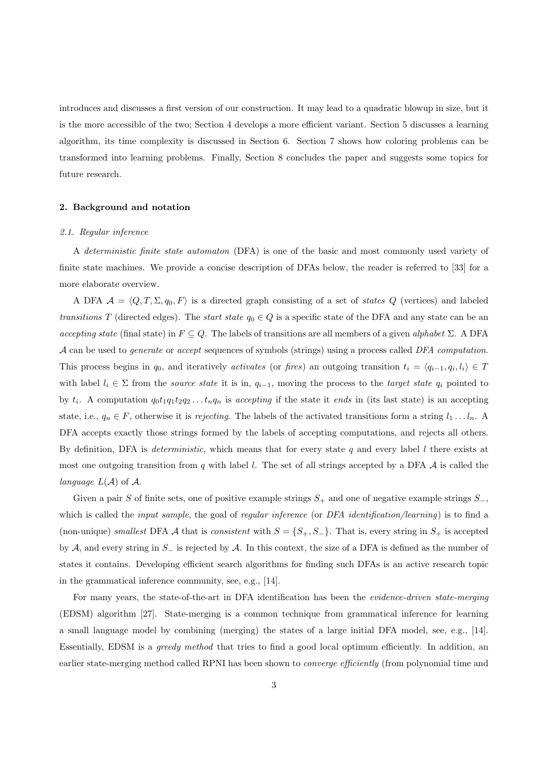introduces and discusses a first version of our construction. It may lead to a quadratic blowup in size, but it is the more accessible of the two; Section 4 develops a more efficient variant. Section 5 discusses a learning algorithm, its time complexity is discussed in Section 6. Section 7 shows how coloring problems can be transformed into learning problems. Finally, Section 8 concludes the paper and suggests some topics for future research.

## 2. Background and notation

#### 2.1. Regular inference

A deterministic finite state automaton (DFA) is one of the basic and most commonly used variety of finite state machines. We provide a concise description of DFAs below, the reader is referred to [33] for a more elaborate overview.

A DFA  $A = \langle Q, T, \Sigma, q_0, F \rangle$  is a directed graph consisting of a set of states Q (vertices) and labeled transitions T (directed edges). The *start state*  $q_0 \in Q$  is a specific state of the DFA and any state can be an accepting state (final state) in  $F \subseteq Q$ . The labels of transitions are all members of a given alphabet  $\Sigma$ . A DFA A can be used to generate or accept sequences of symbols (strings) using a process called DFA computation. This process begins in  $q_0$ , and iteratively *activates* (or fires) an outgoing transition  $t_i = \langle q_{i-1}, q_i, l_i \rangle \in T$ with label  $l_i \in \Sigma$  from the *source state* it is in,  $q_{i-1}$ , moving the process to the *target state*  $q_i$  pointed to by  $t_i$ . A computation  $q_0t_1q_1t_2q_2...t_nq_n$  is accepting if the state it ends in (its last state) is an accepting state, i.e.,  $q_n \in F$ , otherwise it is *rejecting*. The labels of the activated transitions form a string  $l_1 \ldots l_n$ . A DFA accepts exactly those strings formed by the labels of accepting computations, and rejects all others. By definition, DFA is *deterministic*, which means that for every state q and every label  $l$  there exists at most one outgoing transition from q with label l. The set of all strings accepted by a DFA  $\mathcal A$  is called the language  $L(\mathcal{A})$  of  $\mathcal{A}$ .

Given a pair S of finite sets, one of positive example strings  $S_+$  and one of negative example strings  $S_-$ , which is called the *input sample*, the goal of *regular inference* (or DFA *identification*/learning) is to find a (non-unique) smallest DFA A that is consistent with  $S = \{S_+, S_-\}$ . That is, every string in  $S_+$  is accepted by A, and every string in S<sup>−</sup> is rejected by A. In this context, the size of a DFA is defined as the number of states it contains. Developing efficient search algorithms for finding such DFAs is an active research topic in the grammatical inference community, see, e.g., [14].

For many years, the state-of-the-art in DFA identification has been the evidence-driven state-merging (EDSM) algorithm [27]. State-merging is a common technique from grammatical inference for learning a small language model by combining (merging) the states of a large initial DFA model, see, e.g., [14]. Essentially, EDSM is a greedy method that tries to find a good local optimum efficiently. In addition, an earlier state-merging method called RPNI has been shown to *converge efficiently* (from polynomial time and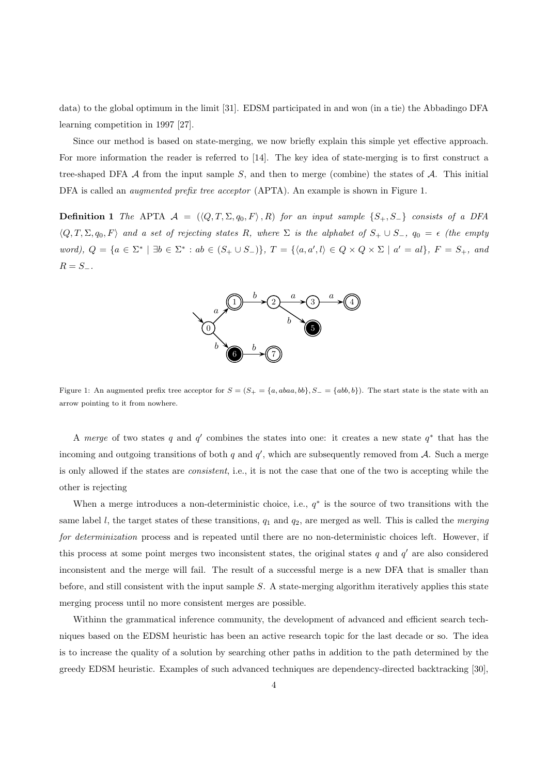data) to the global optimum in the limit [31]. EDSM participated in and won (in a tie) the Abbadingo DFA learning competition in 1997 [27].

Since our method is based on state-merging, we now briefly explain this simple yet effective approach. For more information the reader is referred to [14]. The key idea of state-merging is to first construct a tree-shaped DFA  $A$  from the input sample  $S$ , and then to merge (combine) the states of  $A$ . This initial DFA is called an *augmented prefix tree acceptor* (APTA). An example is shown in Figure 1.

**Definition 1** The APTA  $\mathcal{A} = (\langle Q, T, \Sigma, q_0, F \rangle, R)$  for an input sample  $\{S_+, S_-\}$  consists of a DFA  $\langle Q, T, \Sigma, q_0, F \rangle$  and a set of rejecting states R, where  $\Sigma$  is the alphabet of  $S_+ \cup S_-, q_0 = \epsilon$  (the empty word),  $Q = \{a \in \Sigma^* \mid \exists b \in \Sigma^* : ab \in (S_+ \cup S_-)\}, T = \{\langle a, a', l \rangle \in Q \times Q \times \Sigma \mid a' = al\}, F = S_+, and$  $R = S_-.$ 



Figure 1: An augmented prefix tree acceptor for  $S = (S_+ = \{a, abaa, bb\}, S_- = \{abb, b\})$ . The start state is the state with an arrow pointing to it from nowhere.

A merge of two states q and  $q'$  combines the states into one: it creates a new state  $q^*$  that has the incoming and outgoing transitions of both  $q$  and  $q'$ , which are subsequently removed from  $A$ . Such a merge is only allowed if the states are consistent, i.e., it is not the case that one of the two is accepting while the other is rejecting

When a merge introduces a non-deterministic choice, i.e.,  $q^*$  is the source of two transitions with the same label  $l$ , the target states of these transitions,  $q_1$  and  $q_2$ , are merged as well. This is called the *merging* for determinization process and is repeated until there are no non-deterministic choices left. However, if this process at some point merges two inconsistent states, the original states  $q$  and  $q'$  are also considered inconsistent and the merge will fail. The result of a successful merge is a new DFA that is smaller than before, and still consistent with the input sample S. A state-merging algorithm iteratively applies this state merging process until no more consistent merges are possible.

Withinn the grammatical inference community, the development of advanced and efficient search techniques based on the EDSM heuristic has been an active research topic for the last decade or so. The idea is to increase the quality of a solution by searching other paths in addition to the path determined by the greedy EDSM heuristic. Examples of such advanced techniques are dependency-directed backtracking [30],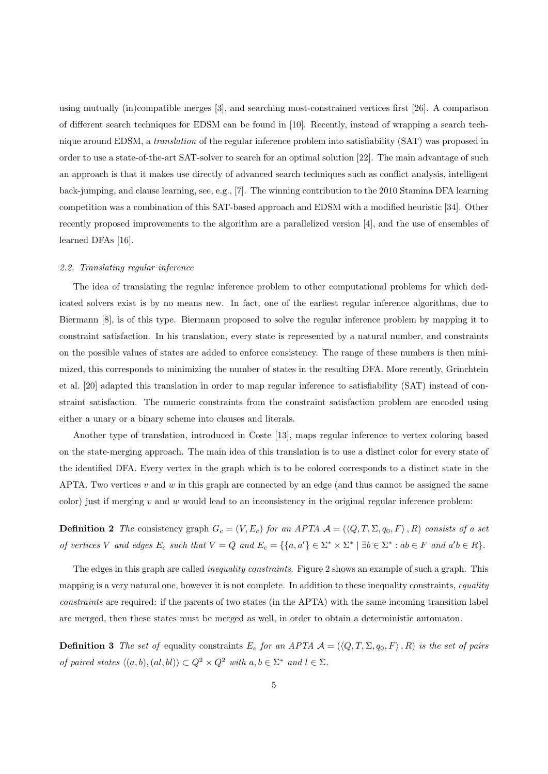using mutually (in)compatible merges [3], and searching most-constrained vertices first [26]. A comparison of different search techniques for EDSM can be found in [10]. Recently, instead of wrapping a search technique around EDSM, a translation of the regular inference problem into satisfiability (SAT) was proposed in order to use a state-of-the-art SAT-solver to search for an optimal solution [22]. The main advantage of such an approach is that it makes use directly of advanced search techniques such as conflict analysis, intelligent back-jumping, and clause learning, see, e.g., [7]. The winning contribution to the 2010 Stamina DFA learning competition was a combination of this SAT-based approach and EDSM with a modified heuristic [34]. Other recently proposed improvements to the algorithm are a parallelized version [4], and the use of ensembles of learned DFAs [16].

#### 2.2. Translating regular inference

The idea of translating the regular inference problem to other computational problems for which dedicated solvers exist is by no means new. In fact, one of the earliest regular inference algorithms, due to Biermann [8], is of this type. Biermann proposed to solve the regular inference problem by mapping it to constraint satisfaction. In his translation, every state is represented by a natural number, and constraints on the possible values of states are added to enforce consistency. The range of these numbers is then minimized, this corresponds to minimizing the number of states in the resulting DFA. More recently, Grinchtein et al. [20] adapted this translation in order to map regular inference to satisfiability (SAT) instead of constraint satisfaction. The numeric constraints from the constraint satisfaction problem are encoded using either a unary or a binary scheme into clauses and literals.

Another type of translation, introduced in Coste [13], maps regular inference to vertex coloring based on the state-merging approach. The main idea of this translation is to use a distinct color for every state of the identified DFA. Every vertex in the graph which is to be colored corresponds to a distinct state in the APTA. Two vertices  $v$  and  $w$  in this graph are connected by an edge (and thus cannot be assigned the same color) just if merging  $v$  and  $w$  would lead to an inconsistency in the original regular inference problem:

**Definition 2** The consistency graph  $G_c = (V, E_c)$  for an APTA  $\mathcal{A} = (\langle Q, T, \Sigma, q_0, F \rangle, R)$  consists of a set of vertices V and edges  $E_c$  such that  $V = Q$  and  $E_c = \{ \{a, a' \} \in \Sigma^* \times \Sigma^* \mid \exists b \in \Sigma^* : ab \in F$  and  $a'b \in R \}.$ 

The edges in this graph are called *inequality constraints*. Figure 2 shows an example of such a graph. This mapping is a very natural one, however it is not complete. In addition to these inequality constraints, equality constraints are required: if the parents of two states (in the APTA) with the same incoming transition label are merged, then these states must be merged as well, in order to obtain a deterministic automaton.

**Definition 3** The set of equality constraints  $E_e$  for an APTA  $A = (\langle Q, T, \Sigma, q_0, F \rangle, R)$  is the set of pairs of paired states  $\langle (a, b), (al, bl) \rangle \subset Q^2 \times Q^2$  with  $a, b \in \Sigma^*$  and  $l \in \Sigma$ .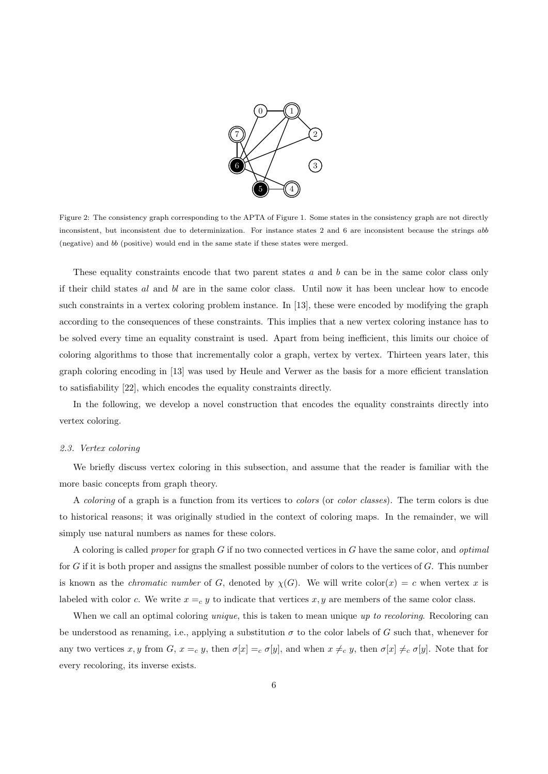

Figure 2: The consistency graph corresponding to the APTA of Figure 1. Some states in the consistency graph are not directly inconsistent, but inconsistent due to determinization. For instance states 2 and 6 are inconsistent because the strings abb (negative) and bb (positive) would end in the same state if these states were merged.

These equality constraints encode that two parent states a and b can be in the same color class only if their child states al and bl are in the same color class. Until now it has been unclear how to encode such constraints in a vertex coloring problem instance. In [13], these were encoded by modifying the graph according to the consequences of these constraints. This implies that a new vertex coloring instance has to be solved every time an equality constraint is used. Apart from being inefficient, this limits our choice of coloring algorithms to those that incrementally color a graph, vertex by vertex. Thirteen years later, this graph coloring encoding in [13] was used by Heule and Verwer as the basis for a more efficient translation to satisfiability [22], which encodes the equality constraints directly.

In the following, we develop a novel construction that encodes the equality constraints directly into vertex coloring.

#### 2.3. Vertex coloring

We briefly discuss vertex coloring in this subsection, and assume that the reader is familiar with the more basic concepts from graph theory.

A *coloring* of a graph is a function from its vertices to *colors* (or *color classes*). The term colors is due to historical reasons; it was originally studied in the context of coloring maps. In the remainder, we will simply use natural numbers as names for these colors.

A coloring is called proper for graph G if no two connected vertices in G have the same color, and optimal for  $G$  if it is both proper and assigns the smallest possible number of colors to the vertices of  $G$ . This number is known as the *chromatic number* of G, denoted by  $\chi(G)$ . We will write color(x) = c when vertex x is labeled with color c. We write  $x = c$  y to indicate that vertices x, y are members of the same color class.

When we call an optimal coloring *unique*, this is taken to mean unique up to recoloring. Recoloring can be understood as renaming, i.e., applying a substitution  $\sigma$  to the color labels of G such that, whenever for any two vertices x, y from G,  $x =_c y$ , then  $\sigma[x] =_c \sigma[y]$ , and when  $x \neq_c y$ , then  $\sigma[x] \neq_c \sigma[y]$ . Note that for every recoloring, its inverse exists.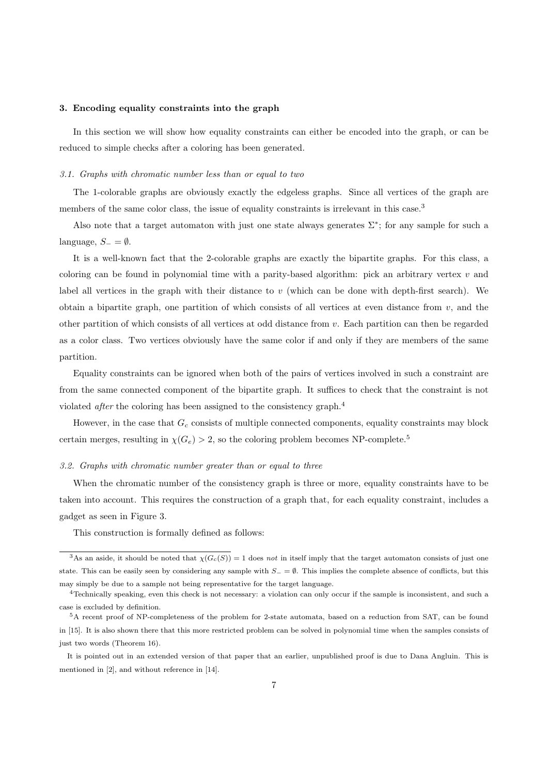## 3. Encoding equality constraints into the graph

In this section we will show how equality constraints can either be encoded into the graph, or can be reduced to simple checks after a coloring has been generated.

#### 3.1. Graphs with chromatic number less than or equal to two

The 1-colorable graphs are obviously exactly the edgeless graphs. Since all vertices of the graph are members of the same color class, the issue of equality constraints is irrelevant in this case.<sup>3</sup>

Also note that a target automaton with just one state always generates  $\Sigma^*$ ; for any sample for such a language,  $S_-=\emptyset$ .

It is a well-known fact that the 2-colorable graphs are exactly the bipartite graphs. For this class, a coloring can be found in polynomial time with a parity-based algorithm: pick an arbitrary vertex  $v$  and label all vertices in the graph with their distance to  $v$  (which can be done with depth-first search). We obtain a bipartite graph, one partition of which consists of all vertices at even distance from  $v$ , and the other partition of which consists of all vertices at odd distance from v. Each partition can then be regarded as a color class. Two vertices obviously have the same color if and only if they are members of the same partition.

Equality constraints can be ignored when both of the pairs of vertices involved in such a constraint are from the same connected component of the bipartite graph. It suffices to check that the constraint is not violated after the coloring has been assigned to the consistency graph.<sup>4</sup>

However, in the case that  $G_c$  consists of multiple connected components, equality constraints may block certain merges, resulting in  $\chi(G_e) > 2$ , so the coloring problem becomes NP-complete.<sup>5</sup>

#### 3.2. Graphs with chromatic number greater than or equal to three

When the chromatic number of the consistency graph is three or more, equality constraints have to be taken into account. This requires the construction of a graph that, for each equality constraint, includes a gadget as seen in Figure 3.

This construction is formally defined as follows:

<sup>&</sup>lt;sup>3</sup>As an aside, it should be noted that  $\chi(G_c(S)) = 1$  does not in itself imply that the target automaton consists of just one state. This can be easily seen by considering any sample with  $S_ = \emptyset$ . This implies the complete absence of conflicts, but this may simply be due to a sample not being representative for the target language.

<sup>4</sup>Technically speaking, even this check is not necessary: a violation can only occur if the sample is inconsistent, and such a case is excluded by definition.

<sup>5</sup>A recent proof of NP-completeness of the problem for 2-state automata, based on a reduction from SAT, can be found in [15]. It is also shown there that this more restricted problem can be solved in polynomial time when the samples consists of just two words (Theorem 16).

It is pointed out in an extended version of that paper that an earlier, unpublished proof is due to Dana Angluin. This is mentioned in [2], and without reference in [14].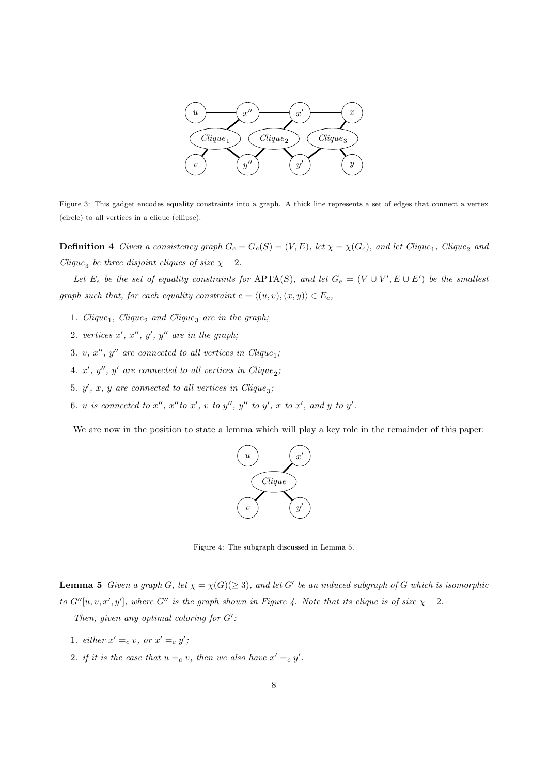

Figure 3: This gadget encodes equality constraints into a graph. A thick line represents a set of edges that connect a vertex (circle) to all vertices in a clique (ellipse).

**Definition 4** Given a consistency graph  $G_c = G_c(S) = (V, E)$ , let  $\chi = \chi(G_c)$ , and let Clique<sub>1</sub>, Clique<sub>2</sub> and Clique<sub>3</sub> be three disjoint cliques of size  $\chi - 2$ .

Let  $E_e$  be the set of equality constraints for APTA(S), and let  $G_e = (V \cup V', E \cup E')$  be the smallest graph such that, for each equality constraint  $e = \langle (u, v), (x, y) \rangle \in E_e$ ,

- 1.  $Clique_1$ ,  $Clique_2$  and  $Clique_3$  are in the graph;
- 2. vertices  $x', x'', y', y''$  are in the graph;
- 3. v,  $x''$ ,  $y''$  are connected to all vertices in Clique<sub>1</sub>;
- 4.  $x'$ ,  $y''$ ,  $y'$  are connected to all vertices in Clique<sub>2</sub>;
- 5.  $y'$ , x, y are connected to all vertices in Clique<sub>3</sub>;
- 6. u is connected to  $x''$ ,  $x''$  to  $x'$ , v to  $y''$ ,  $y''$  to  $y'$ , x to  $x'$ , and y to  $y'$ .

We are now in the position to state a lemma which will play a key role in the remainder of this paper:



Figure 4: The subgraph discussed in Lemma 5.

**Lemma 5** Given a graph G, let  $\chi = \chi(G)(\geq 3)$ , and let G' be an induced subgraph of G which is isomorphic to  $G''[u, v, x', y']$ , where  $G''$  is the graph shown in Figure 4. Note that its clique is of size  $\chi - 2$ .

Then, given any optimal coloring for  $G'$ :

- 1. either  $x' =_c v$ , or  $x' =_c y'$ ;
- 2. if it is the case that  $u =_c v$ , then we also have  $x' =_c y'$ .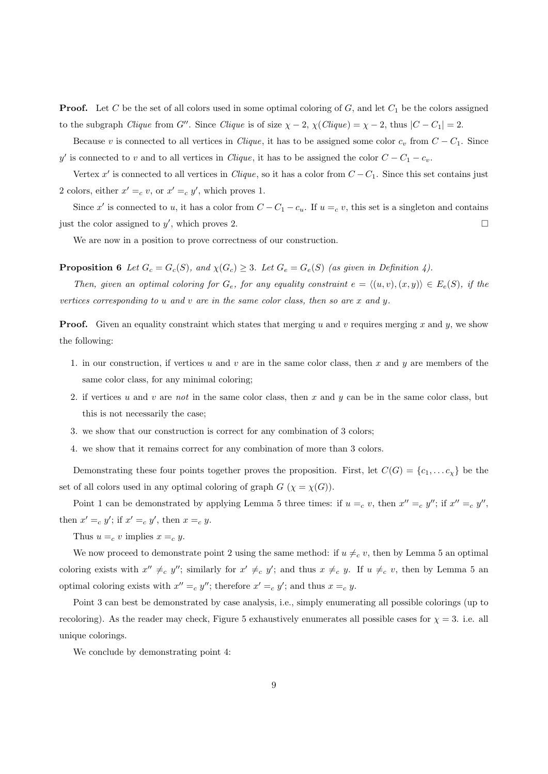**Proof.** Let C be the set of all colors used in some optimal coloring of G, and let  $C_1$  be the colors assigned to the subgraph *Clique* from G''. Since *Clique* is of size  $\chi - 2$ ,  $\chi$ (*Clique*) =  $\chi - 2$ , thus  $|C - C_1| = 2$ .

Because v is connected to all vertices in Clique, it has to be assigned some color  $c_v$  from  $C - C_1$ . Since y' is connected to v and to all vertices in *Clique*, it has to be assigned the color  $C - C_1 - c_v$ .

Vertex x' is connected to all vertices in Clique, so it has a color from  $C - C_1$ . Since this set contains just 2 colors, either  $x' = c$ , or  $x' = c$ ,  $y'$ , which proves 1.

Since x' is connected to u, it has a color from  $C - C_1 - c_u$ . If  $u =_c v$ , this set is a singleton and contains just the color assigned to  $y'$ , which proves 2.

We are now in a position to prove correctness of our construction.

**Proposition 6** Let  $G_c = G_c(S)$ , and  $\chi(G_c) \geq 3$ . Let  $G_e = G_e(S)$  (as given in Definition 4).

Then, given an optimal coloring for  $G_e$ , for any equality constraint  $e = \langle (u, v), (x, y) \rangle \in E_e(S)$ , if the vertices corresponding to u and v are in the same color class, then so are x and y.

**Proof.** Given an equality constraint which states that merging u and v requires merging x and y, we show the following:

- 1. in our construction, if vertices u and v are in the same color class, then x and y are members of the same color class, for any minimal coloring;
- 2. if vertices u and v are not in the same color class, then x and y can be in the same color class, but this is not necessarily the case;
- 3. we show that our construction is correct for any combination of 3 colors;
- 4. we show that it remains correct for any combination of more than 3 colors.

Demonstrating these four points together proves the proposition. First, let  $C(G) = \{c_1, \ldots c_\chi\}$  be the set of all colors used in any optimal coloring of graph  $G$  ( $\chi = \chi(G)$ ).

Point 1 can be demonstrated by applying Lemma 5 three times: if  $u = c$  v, then  $x'' = c$  y''; if  $x'' = c$  y'', then  $x' =_c y'$ ; if  $x' =_c y'$ , then  $x =_c y$ .

Thus  $u =_c v$  implies  $x =_c y$ .

We now proceed to demonstrate point 2 using the same method: if  $u \neq_c v$ , then by Lemma 5 an optimal coloring exists with  $x'' \neq_c y''$ ; similarly for  $x' \neq_c y'$ ; and thus  $x \neq_c y$ . If  $u \neq_c v$ , then by Lemma 5 and optimal coloring exists with  $x'' = c$  y''; therefore  $x' = c$  y'; and thus  $x = c$  y.

Point 3 can best be demonstrated by case analysis, i.e., simply enumerating all possible colorings (up to recoloring). As the reader may check, Figure 5 exhaustively enumerates all possible cases for  $\chi = 3$ . i.e. all unique colorings.

We conclude by demonstrating point 4: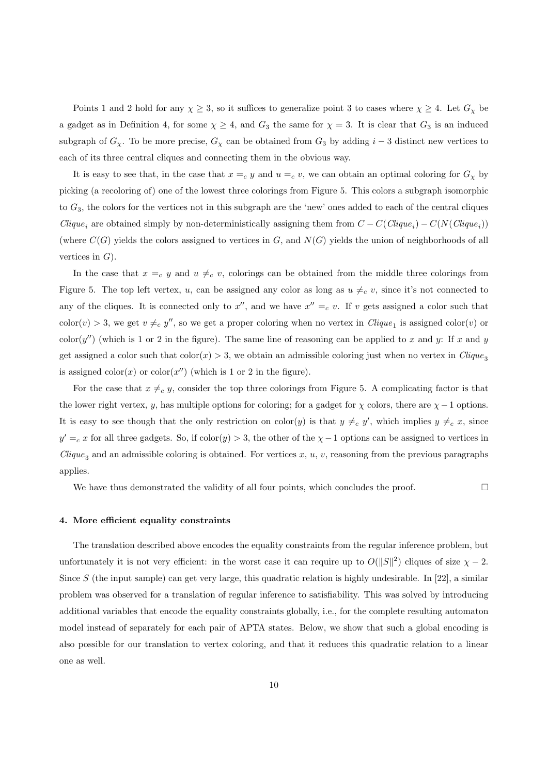Points 1 and 2 hold for any  $\chi \geq 3$ , so it suffices to generalize point 3 to cases where  $\chi \geq 4$ . Let  $G_{\chi}$  be a gadget as in Definition 4, for some  $\chi \geq 4$ , and  $G_3$  the same for  $\chi = 3$ . It is clear that  $G_3$  is an induced subgraph of  $G_\chi$ . To be more precise,  $G_\chi$  can be obtained from  $G_3$  by adding  $i-3$  distinct new vertices to each of its three central cliques and connecting them in the obvious way.

It is easy to see that, in the case that  $x =_c y$  and  $u =_c v$ , we can obtain an optimal coloring for  $G_\chi$  by picking (a recoloring of) one of the lowest three colorings from Figure 5. This colors a subgraph isomorphic to  $G_3$ , the colors for the vertices not in this subgraph are the 'new' ones added to each of the central cliques Clique<sub>i</sub> are obtained simply by non-deterministically assigning them from  $C - C(Clique_i) - C(N(Clique_i))$ (where  $C(G)$  yields the colors assigned to vertices in G, and  $N(G)$  yields the union of neighborhoods of all vertices in  $G$ ).

In the case that  $x =c y$  and  $u \neq c v$ , colorings can be obtained from the middle three colorings from Figure 5. The top left vertex, u, can be assigned any color as long as  $u \neq_c v$ , since it's not connected to any of the cliques. It is connected only to  $x''$ , and we have  $x'' = c$  v. If v gets assigned a color such that  $\text{color}(v) > 3$ , we get  $v \neq_c y''$ , so we get a proper coloring when no vertex in  $Clique_1$  is assigned  $\text{color}(v)$  or  $\text{color}(y'')$  (which is 1 or 2 in the figure). The same line of reasoning can be applied to x and y: If x and y get assigned a color such that  $\text{color}(x) > 3$ , we obtain an admissible coloring just when no vertex in Clique<sub>3</sub> is assigned  $\text{color}(x)$  or  $\text{color}(x'')$  (which is 1 or 2 in the figure).

For the case that  $x \neq_c y$ , consider the top three colorings from Figure 5. A complicating factor is that the lower right vertex, y, has multiple options for coloring; for a gadget for  $\chi$  colors, there are  $\chi - 1$  options. It is easy to see though that the only restriction on  $\text{color}(y)$  is that  $y \neq_c y'$ , which implies  $y \neq_c x$ , since  $y' = c$  x for all three gadgets. So, if color(y) > 3, the other of the  $\chi$  -1 options can be assigned to vertices in  $Clique<sub>3</sub>$  and an admissible coloring is obtained. For vertices x, u, v, reasoning from the previous paragraphs applies.

We have thus demonstrated the validity of all four points, which concludes the proof.  $\Box$ 

#### 4. More efficient equality constraints

The translation described above encodes the equality constraints from the regular inference problem, but unfortunately it is not very efficient: in the worst case it can require up to  $O(||S||^2)$  cliques of size  $\chi - 2$ . Since S (the input sample) can get very large, this quadratic relation is highly undesirable. In [22], a similar problem was observed for a translation of regular inference to satisfiability. This was solved by introducing additional variables that encode the equality constraints globally, i.e., for the complete resulting automaton model instead of separately for each pair of APTA states. Below, we show that such a global encoding is also possible for our translation to vertex coloring, and that it reduces this quadratic relation to a linear one as well.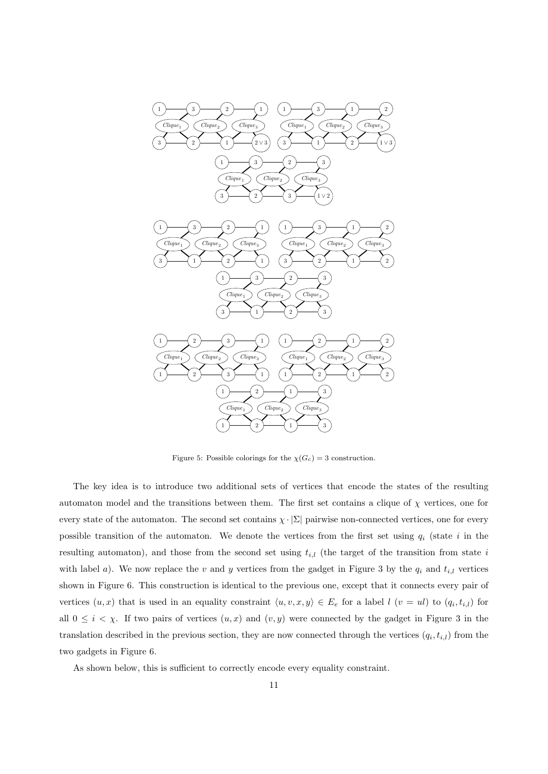

Figure 5: Possible colorings for the  $\chi(G_c) = 3$  construction.

The key idea is to introduce two additional sets of vertices that encode the states of the resulting automaton model and the transitions between them. The first set contains a clique of  $\chi$  vertices, one for every state of the automaton. The second set contains  $\chi \cdot |\Sigma|$  pairwise non-connected vertices, one for every possible transition of the automaton. We denote the vertices from the first set using  $q_i$  (state i in the resulting automaton), and those from the second set using  $t_{i,l}$  (the target of the transition from state i with label a). We now replace the v and y vertices from the gadget in Figure 3 by the  $q_i$  and  $t_{i,l}$  vertices shown in Figure 6. This construction is identical to the previous one, except that it connects every pair of vertices  $(u, x)$  that is used in an equality constraint  $\langle u, v, x, y \rangle \in E_e$  for a label  $l$   $(v = ul)$  to  $(q_i, t_{i,l})$  for all  $0 \leq i \leq \chi$ . If two pairs of vertices  $(u, x)$  and  $(v, y)$  were connected by the gadget in Figure 3 in the translation described in the previous section, they are now connected through the vertices  $(q_i, t_{i,l})$  from the two gadgets in Figure 6.

As shown below, this is sufficient to correctly encode every equality constraint.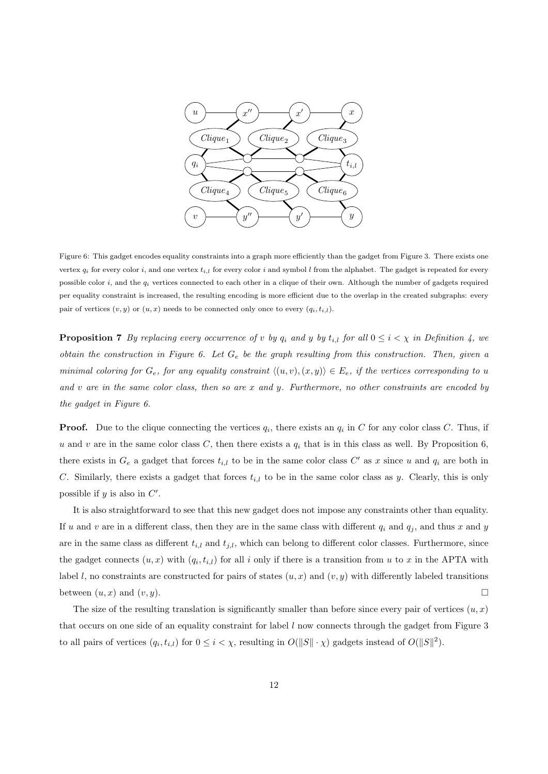

Figure 6: This gadget encodes equality constraints into a graph more efficiently than the gadget from Figure 3. There exists one vertex  $q_i$  for every color i, and one vertex  $t_{i,l}$  for every color i and symbol l from the alphabet. The gadget is repeated for every possible color  $i$ , and the  $q_i$  vertices connected to each other in a clique of their own. Although the number of gadgets required per equality constraint is increased, the resulting encoding is more efficient due to the overlap in the created subgraphs: every pair of vertices  $(v, y)$  or  $(u, x)$  needs to be connected only once to every  $(q_i, t_{i,l})$ .

**Proposition 7** By replacing every occurrence of v by  $q_i$  and y by  $t_{i,l}$  for all  $0 \leq i \leq \chi$  in Definition 4, we obtain the construction in Figure 6. Let  $G_e$  be the graph resulting from this construction. Then, given a minimal coloring for  $G_e$ , for any equality constraint  $\langle (u, v), (x, y) \rangle \in E_e$ , if the vertices corresponding to u and  $v$  are in the same color class, then so are  $x$  and  $y$ . Furthermore, no other constraints are encoded by the gadget in Figure 6.

**Proof.** Due to the clique connecting the vertices  $q_i$ , there exists an  $q_i$  in C for any color class C. Thus, if u and v are in the same color class C, then there exists a  $q_i$  that is in this class as well. By Proposition 6, there exists in  $G_e$  a gadget that forces  $t_{i,l}$  to be in the same color class  $C'$  as x since u and  $q_i$  are both in C. Similarly, there exists a gadget that forces  $t_{i,l}$  to be in the same color class as y. Clearly, this is only possible if  $y$  is also in  $C'$ .

It is also straightforward to see that this new gadget does not impose any constraints other than equality. If u and v are in a different class, then they are in the same class with different  $q_i$  and  $q_j$ , and thus x and y are in the same class as different  $t_{i,l}$  and  $t_{j,l}$ , which can belong to different color classes. Furthermore, since the gadget connects  $(u, x)$  with  $(q_i, t_{i,l})$  for all i only if there is a transition from u to x in the APTA with label l, no constraints are constructed for pairs of states  $(u, x)$  and  $(v, y)$  with differently labeled transitions between  $(u, x)$  and  $(v, y)$ .

The size of the resulting translation is significantly smaller than before since every pair of vertices  $(u, x)$ that occurs on one side of an equality constraint for label l now connects through the gadget from Figure 3 to all pairs of vertices  $(q_i, t_{i,l})$  for  $0 \leq i < \chi$ , resulting in  $O(||S|| \cdot \chi)$  gadgets instead of  $O(||S||^2)$ .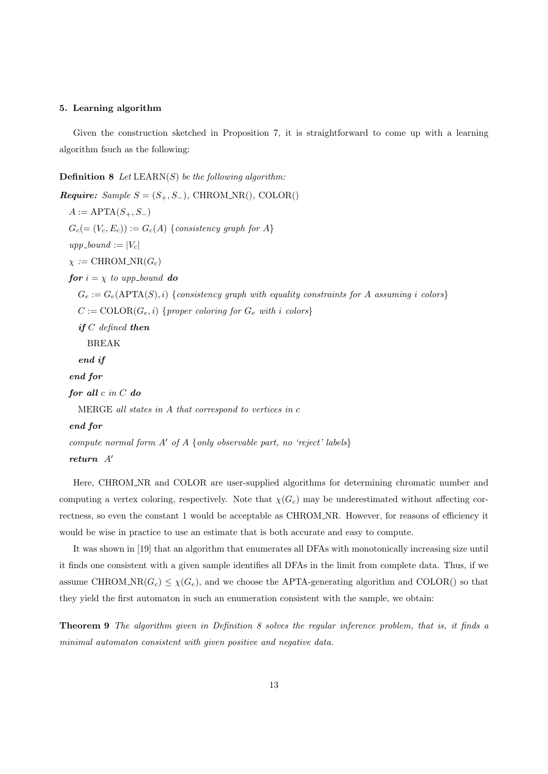## 5. Learning algorithm

Given the construction sketched in Proposition 7, it is straightforward to come up with a learning algorithm fsuch as the following:

**Definition 8** Let  $LEARN(S)$  be the following algorithm:

*Require: Sample S* =  $(S_+, S_-)$ , CHROM\_NR(), COLOR()  $A := \text{APTA}(S_+, S_-)$  $G_c (= (V_c, E_c)) := G_c(A)$  {consistency graph for A}  $upp\_bound := |V_c|$  $\chi := \text{CHROM\_NR}(G_c)$ for  $i = \chi$  to upp-bound do  $G_e := G_e(\text{APTA}(S), i)$  {consistency graph with equality constraints for A assuming i colors}  $C := \text{COLOR}(G_e, i)$  {proper coloring for  $G_e$  with i colors} if  $C$  defined then BREAK end if end for for all c in C do MERGE all states in A that correspond to vertices in c end for compute normal form  $A'$  of  $A$  {only observable part, no 'reject' labels} return  $A'$ 

Here, CHROM\_NR and COLOR are user-supplied algorithms for determining chromatic number and computing a vertex coloring, respectively. Note that  $\chi(G_c)$  may be underestimated without affecting correctness, so even the constant 1 would be acceptable as CHROM NR. However, for reasons of efficiency it would be wise in practice to use an estimate that is both accurate and easy to compute.

It was shown in [19] that an algorithm that enumerates all DFAs with monotonically increasing size until it finds one consistent with a given sample identifies all DFAs in the limit from complete data. Thus, if we assume CHROM\_NR( $G_c$ )  $\leq \chi(G_e)$ , and we choose the APTA-generating algorithm and COLOR() so that they yield the first automaton in such an enumeration consistent with the sample, we obtain:

Theorem 9 The algorithm given in Definition 8 solves the regular inference problem, that is, it finds a minimal automaton consistent with given positive and negative data.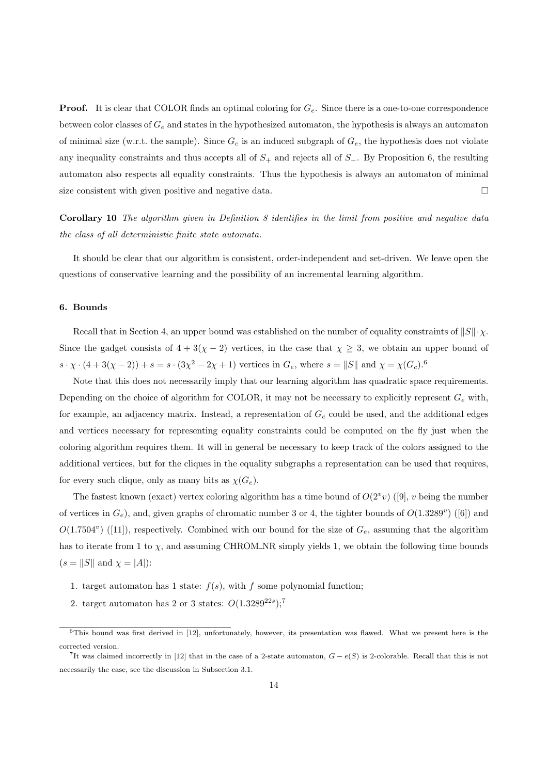**Proof.** It is clear that COLOR finds an optimal coloring for  $G_e$ . Since there is a one-to-one correspondence between color classes of  $G_e$  and states in the hypothesized automaton, the hypothesis is always an automaton of minimal size (w.r.t. the sample). Since  $G_c$  is an induced subgraph of  $G_e$ , the hypothesis does not violate any inequality constraints and thus accepts all of  $S_+$  and rejects all of  $S_-.$  By Proposition 6, the resulting automaton also respects all equality constraints. Thus the hypothesis is always an automaton of minimal size consistent with given positive and negative data.

Corollary 10 The algorithm given in Definition 8 identifies in the limit from positive and negative data the class of all deterministic finite state automata.

It should be clear that our algorithm is consistent, order-independent and set-driven. We leave open the questions of conservative learning and the possibility of an incremental learning algorithm.

# 6. Bounds

Recall that in Section 4, an upper bound was established on the number of equality constraints of  $||S|| \cdot \chi$ . Since the gadget consists of  $4 + 3(\chi - 2)$  vertices, in the case that  $\chi \geq 3$ , we obtain an upper bound of  $s \cdot \chi \cdot (4 + 3(\chi - 2)) + s = s \cdot (3\chi^2 - 2\chi + 1)$  vertices in  $G_e$ , where  $s = ||S||$  and  $\chi = \chi(G_c)^{6}$ .

Note that this does not necessarily imply that our learning algorithm has quadratic space requirements. Depending on the choice of algorithm for COLOR, it may not be necessary to explicitly represent  $G_e$  with, for example, an adjacency matrix. Instead, a representation of  $G_c$  could be used, and the additional edges and vertices necessary for representing equality constraints could be computed on the fly just when the coloring algorithm requires them. It will in general be necessary to keep track of the colors assigned to the additional vertices, but for the cliques in the equality subgraphs a representation can be used that requires, for every such clique, only as many bits as  $\chi(G_e)$ .

The fastest known (exact) vertex coloring algorithm has a time bound of  $O(2^v v)$  ([9], v being the number of vertices in  $G_e$ ), and, given graphs of chromatic number 3 or 4, the tighter bounds of  $O(1.3289^v)$  ([6]) and  $O(1.7504^v)$  ([11]), respectively. Combined with our bound for the size of  $G_e$ , assuming that the algorithm has to iterate from 1 to  $\chi$ , and assuming CHROM\_NR simply yields 1, we obtain the following time bounds  $(s = \|S\|$  and  $\chi = |A|)$ :

- 1. target automaton has 1 state:  $f(s)$ , with f some polynomial function;
- 2. target automaton has 2 or 3 states:  $O(1.3289^{22s})$ ;<sup>7</sup>

 $6$ This bound was first derived in [12], unfortunately, however, its presentation was flawed. What we present here is the corrected version.

<sup>&</sup>lt;sup>7</sup>It was claimed incorrectly in [12] that in the case of a 2-state automaton,  $G - e(S)$  is 2-colorable. Recall that this is not necessarily the case, see the discussion in Subsection 3.1.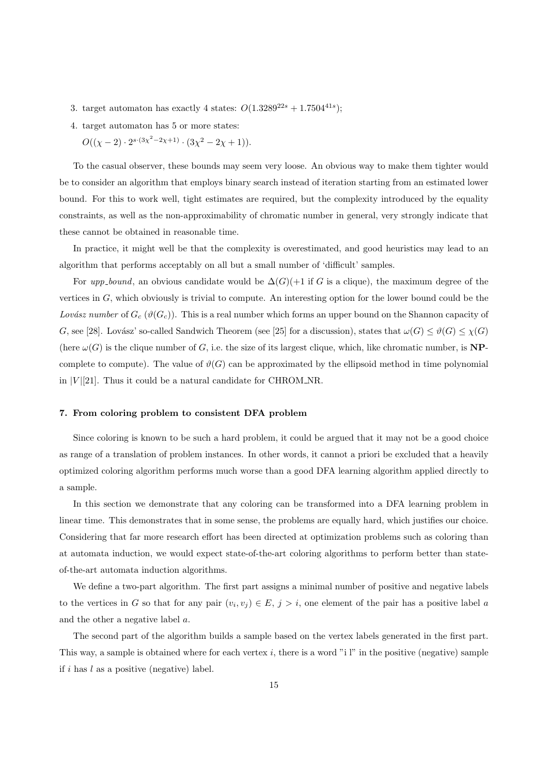- 3. target automaton has exactly 4 states:  $O(1.3289^{22s} + 1.7504^{41s})$ ;
- 4. target automaton has 5 or more states:
	- $O((\chi 2) \cdot 2^{s \cdot (3\chi^2 2\chi + 1)} \cdot (3\chi^2 2\chi + 1)).$

To the casual observer, these bounds may seem very loose. An obvious way to make them tighter would be to consider an algorithm that employs binary search instead of iteration starting from an estimated lower bound. For this to work well, tight estimates are required, but the complexity introduced by the equality constraints, as well as the non-approximability of chromatic number in general, very strongly indicate that these cannot be obtained in reasonable time.

In practice, it might well be that the complexity is overestimated, and good heuristics may lead to an algorithm that performs acceptably on all but a small number of 'difficult' samples.

For upp\_bound, an obvious candidate would be  $\Delta(G)(+1)$  if G is a clique), the maximum degree of the vertices in G, which obviously is trivial to compute. An interesting option for the lower bound could be the Lovász number of  $G_c(\vartheta(G_c))$ . This is a real number which forms an upper bound on the Shannon capacity of G, see [28]. Lovász' so-called Sandwich Theorem (see [25] for a discussion), states that  $\omega(G) \leq \vartheta(G) \leq \chi(G)$ (here  $\omega(G)$  is the clique number of G, i.e. the size of its largest clique, which, like chromatic number, is **NP**complete to compute). The value of  $\vartheta(G)$  can be approximated by the ellipsoid method in time polynomial in  $|V|$  [21]. Thus it could be a natural candidate for CHROM\_NR.

## 7. From coloring problem to consistent DFA problem

Since coloring is known to be such a hard problem, it could be argued that it may not be a good choice as range of a translation of problem instances. In other words, it cannot a priori be excluded that a heavily optimized coloring algorithm performs much worse than a good DFA learning algorithm applied directly to a sample.

In this section we demonstrate that any coloring can be transformed into a DFA learning problem in linear time. This demonstrates that in some sense, the problems are equally hard, which justifies our choice. Considering that far more research effort has been directed at optimization problems such as coloring than at automata induction, we would expect state-of-the-art coloring algorithms to perform better than stateof-the-art automata induction algorithms.

We define a two-part algorithm. The first part assigns a minimal number of positive and negative labels to the vertices in G so that for any pair  $(v_i, v_j) \in E$ ,  $j > i$ , one element of the pair has a positive label a and the other a negative label a.

The second part of the algorithm builds a sample based on the vertex labels generated in the first part. This way, a sample is obtained where for each vertex i, there is a word "i l" in the positive (negative) sample if i has  $l$  as a positive (negative) label.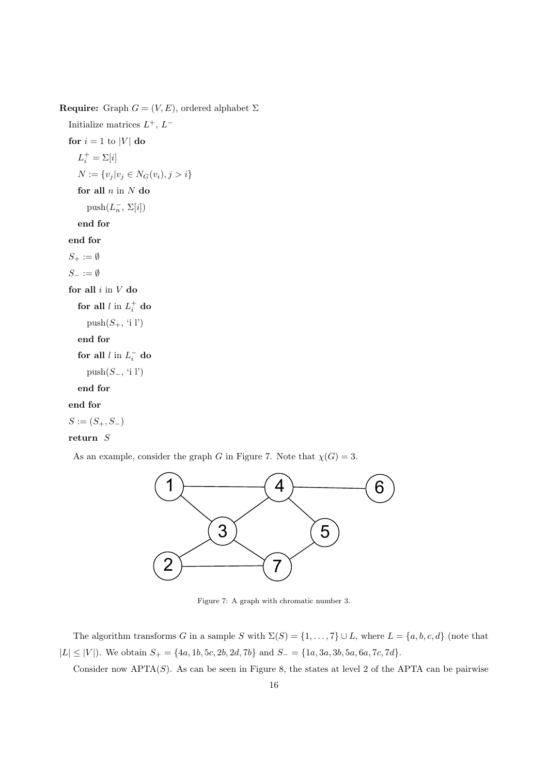Require: Graph  $G = (V, E)$ , ordered alphabet  $\Sigma$ 

Initialize matrices  $L^+$ ,  $L^$ for  $i = 1$  to |V| do  $L_i^+ = \Sigma[i]$  $N := \{v_j | v_j \in N_G(v_i), j > i\}$ for all  $n$  in  $N$  do  $\text{push}(L_n^-, \Sigma[i])$ end for end for  $S_+ := \emptyset$  $S_-\coloneqq \emptyset$ for all  $i$  in  $V$  do for all  $l$  in  $L_i^+$  do push $(S_+$ , 'i l') end for for all  $l$  in  $L_i^-$  do push $(S_-, 'i 1')$ end for

# end for

 $S := (S_+, S_-)$ 

# return S

As an example, consider the graph G in Figure 7. Note that  $\chi(G) = 3$ .



Figure 7: A graph with chromatic number 3.

The algorithm transforms G in a sample S with  $\Sigma(S) = \{1, \ldots, 7\} \cup L$ , where  $L = \{a, b, c, d\}$  (note that  $|L| \leq |V|$ ). We obtain  $S_+ = \{4a, 1b, 5c, 2b, 2d, 7b\}$  and  $S_- = \{1a, 3a, 3b, 5a, 6a, 7c, 7d\}$ .

Consider now  $\text{APTA}(S)$ . As can be seen in Figure 8, the states at level 2 of the APTA can be pairwise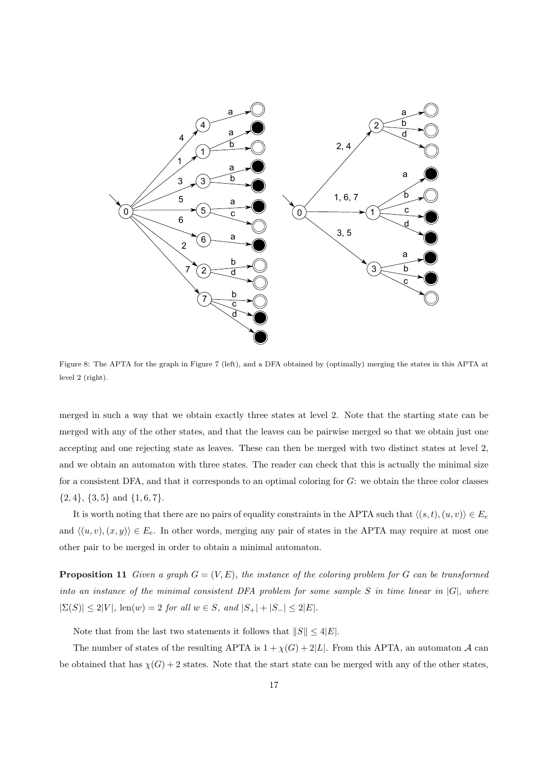

Figure 8: The APTA for the graph in Figure 7 (left), and a DFA obtained by (optimally) merging the states in this APTA at level 2 (right).

merged in such a way that we obtain exactly three states at level 2. Note that the starting state can be merged with any of the other states, and that the leaves can be pairwise merged so that we obtain just one accepting and one rejecting state as leaves. These can then be merged with two distinct states at level 2, and we obtain an automaton with three states. The reader can check that this is actually the minimal size for a consistent DFA, and that it corresponds to an optimal coloring for G: we obtain the three color classes  ${2, 4}, {3, 5}$  and  ${1, 6, 7}.$ 

It is worth noting that there are no pairs of equality constraints in the APTA such that  $\langle (s, t), (u, v) \rangle \in E_e$ and  $\langle (u, v), (x, y) \rangle \in E_e$ . In other words, merging any pair of states in the APTA may require at most one other pair to be merged in order to obtain a minimal automaton.

**Proposition 11** Given a graph  $G = (V, E)$ , the instance of the coloring problem for G can be transformed into an instance of the minimal consistent DFA problem for some sample  $S$  in time linear in  $|G|$ , where  $|\Sigma(S)| \le 2|V|$ , len(w) = 2 for all  $w \in S$ , and  $|S_+| + |S_-| \le 2|E|$ .

Note that from the last two statements it follows that  $||S|| \leq 4|E|$ .

The number of states of the resulting APTA is  $1 + \chi(G) + 2|L|$ . From this APTA, an automaton A can be obtained that has  $\chi(G) + 2$  states. Note that the start state can be merged with any of the other states,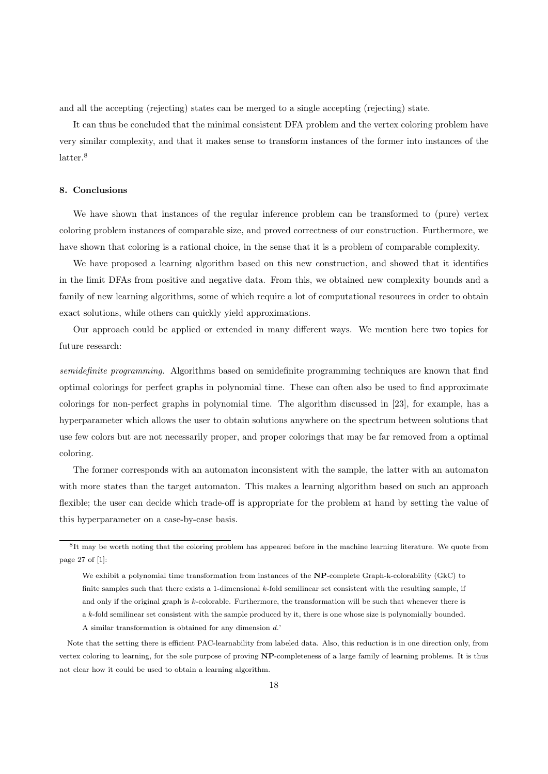and all the accepting (rejecting) states can be merged to a single accepting (rejecting) state.

It can thus be concluded that the minimal consistent DFA problem and the vertex coloring problem have very similar complexity, and that it makes sense to transform instances of the former into instances of the latter.<sup>8</sup>

#### 8. Conclusions

We have shown that instances of the regular inference problem can be transformed to (pure) vertex coloring problem instances of comparable size, and proved correctness of our construction. Furthermore, we have shown that coloring is a rational choice, in the sense that it is a problem of comparable complexity.

We have proposed a learning algorithm based on this new construction, and showed that it identifies in the limit DFAs from positive and negative data. From this, we obtained new complexity bounds and a family of new learning algorithms, some of which require a lot of computational resources in order to obtain exact solutions, while others can quickly yield approximations.

Our approach could be applied or extended in many different ways. We mention here two topics for future research:

semidefinite programming. Algorithms based on semidefinite programming techniques are known that find optimal colorings for perfect graphs in polynomial time. These can often also be used to find approximate colorings for non-perfect graphs in polynomial time. The algorithm discussed in [23], for example, has a hyperparameter which allows the user to obtain solutions anywhere on the spectrum between solutions that use few colors but are not necessarily proper, and proper colorings that may be far removed from a optimal coloring.

The former corresponds with an automaton inconsistent with the sample, the latter with an automaton with more states than the target automaton. This makes a learning algorithm based on such an approach flexible; the user can decide which trade-off is appropriate for the problem at hand by setting the value of this hyperparameter on a case-by-case basis.

<sup>8</sup> It may be worth noting that the coloring problem has appeared before in the machine learning literature. We quote from page 27 of [1]:

We exhibit a polynomial time transformation from instances of the NP-complete Graph-k-colorability (GkC) to finite samples such that there exists a 1-dimensional k-fold semilinear set consistent with the resulting sample, if and only if the original graph is k-colorable. Furthermore, the transformation will be such that whenever there is a k-fold semilinear set consistent with the sample produced by it, there is one whose size is polynomially bounded.

A similar transformation is obtained for any dimension d.'

Note that the setting there is efficient PAC-learnability from labeled data. Also, this reduction is in one direction only, from vertex coloring to learning, for the sole purpose of proving NP-completeness of a large family of learning problems. It is thus not clear how it could be used to obtain a learning algorithm.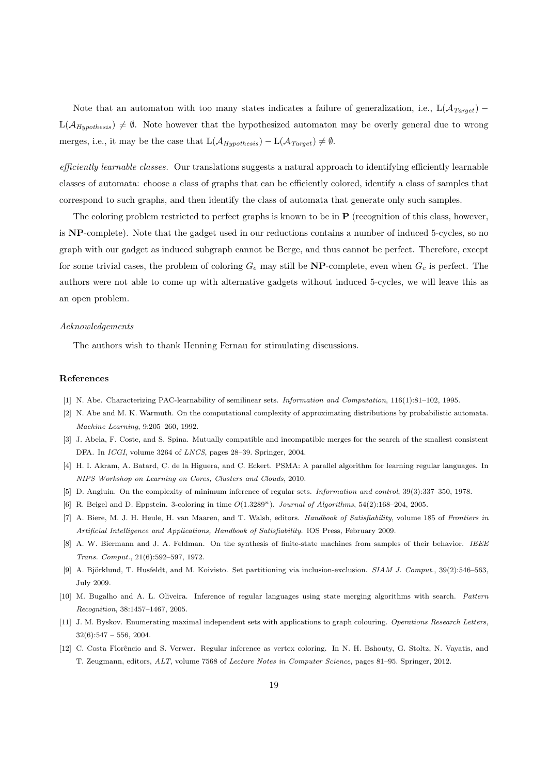Note that an automaton with too many states indicates a failure of generalization, i.e.,  $L(\mathcal{A}_{Target})$  –  $L(\mathcal{A}_{Hwothesis}) \neq \emptyset$ . Note however that the hypothesized automaton may be overly general due to wrong merges, i.e., it may be the case that  $L(\mathcal{A}_{Hwothesis}) - L(\mathcal{A}_{Target}) \neq \emptyset$ .

efficiently learnable classes. Our translations suggests a natural approach to identifying efficiently learnable classes of automata: choose a class of graphs that can be efficiently colored, identify a class of samples that correspond to such graphs, and then identify the class of automata that generate only such samples.

The coloring problem restricted to perfect graphs is known to be in P (recognition of this class, however, is NP-complete). Note that the gadget used in our reductions contains a number of induced 5-cycles, so no graph with our gadget as induced subgraph cannot be Berge, and thus cannot be perfect. Therefore, except for some trivial cases, the problem of coloring  $G_e$  may still be **NP**-complete, even when  $G_c$  is perfect. The authors were not able to come up with alternative gadgets without induced 5-cycles, we will leave this as an open problem.

#### Acknowledgements

The authors wish to thank Henning Fernau for stimulating discussions.

#### References

- [1] N. Abe. Characterizing PAC-learnability of semilinear sets. Information and Computation, 116(1):81–102, 1995.
- [2] N. Abe and M. K. Warmuth. On the computational complexity of approximating distributions by probabilistic automata. Machine Learning, 9:205–260, 1992.
- [3] J. Abela, F. Coste, and S. Spina. Mutually compatible and incompatible merges for the search of the smallest consistent DFA. In ICGI, volume 3264 of LNCS, pages 28–39. Springer, 2004.
- [4] H. I. Akram, A. Batard, C. de la Higuera, and C. Eckert. PSMA: A parallel algorithm for learning regular languages. In NIPS Workshop on Learning on Cores, Clusters and Clouds, 2010.
- [5] D. Angluin. On the complexity of minimum inference of regular sets. Information and control, 39(3):337–350, 1978.
- [6] R. Beigel and D. Eppstein. 3-coloring in time  $O(1.3289<sup>n</sup>)$ . Journal of Algorithms, 54(2):168–204, 2005.
- [7] A. Biere, M. J. H. Heule, H. van Maaren, and T. Walsh, editors. Handbook of Satisfiability, volume 185 of Frontiers in Artificial Intelligence and Applications, Handbook of Satisfiability. IOS Press, February 2009.
- [8] A. W. Biermann and J. A. Feldman. On the synthesis of finite-state machines from samples of their behavior. IEEE Trans. Comput., 21(6):592–597, 1972.
- [9] A. Björklund, T. Husfeldt, and M. Koivisto. Set partitioning via inclusion-exclusion. SIAM J. Comput., 39(2):546–563. July 2009.
- [10] M. Bugalho and A. L. Oliveira. Inference of regular languages using state merging algorithms with search. Pattern Recognition, 38:1457–1467, 2005.
- [11] J. M. Byskov. Enumerating maximal independent sets with applications to graph colouring. Operations Research Letters,  $32(6):547 - 556, 2004.$
- [12] C. Costa Florêncio and S. Verwer. Regular inference as vertex coloring. In N. H. Bshouty, G. Stoltz, N. Vayatis, and T. Zeugmann, editors, ALT, volume 7568 of Lecture Notes in Computer Science, pages 81–95. Springer, 2012.